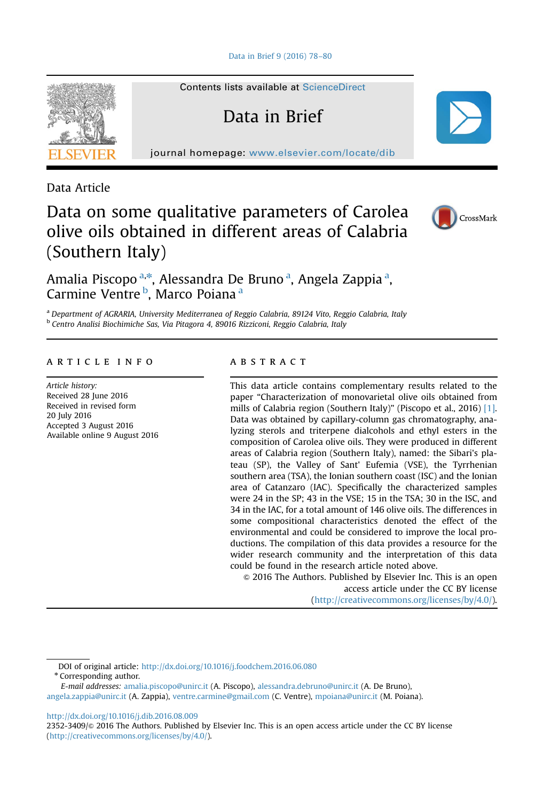

Contents lists available at [ScienceDirect](www.sciencedirect.com/science/journal/23523409)

Data in Brief

journal homepage: <www.elsevier.com/locate/dib>

Data Article

# Data on some qualitative parameters of Carolea olive oils obtained in different areas of Calabria (Southern Italy)



Amalia Piscopo<sup>a,\*</sup>, Alessandra De Bruno<sup>a</sup>, Angela Zappia<sup>a</sup>, Carmine Ventre <sup>b</sup>, Marco Poiana <sup>a</sup>

<sup>a</sup> Department of AGRARIA, University Mediterranea of Reggio Calabria, 89124 Vito, Reggio Calabria, Italy <sup>b</sup> Centro Analisi Biochimiche Sas, Via Pitagora 4, 89016 Rizziconi, Reggio Calabria, Italy

## article info

Article history: Received 28 June 2016 Received in revised form 20 July 2016 Accepted 3 August 2016 Available online 9 August 2016

#### **ABSTRACT**

This data article contains complementary results related to the paper "Characterization of monovarietal olive oils obtained from mills of Calabria region (Southern Italy)" (Piscopo et al., 2016) [\[1\].](#page-2-0) Data was obtained by capillary-column gas chromatography, analyzing sterols and triterpene dialcohols and ethyl esters in the composition of Carolea olive oils. They were produced in different areas of Calabria region (Southern Italy), named: the Sibari's plateau (SP), the Valley of Sant' Eufemia (VSE), the Tyrrhenian southern area (TSA), the Ionian southern coast (ISC) and the Ionian area of Catanzaro (IAC). Specifically the characterized samples were 24 in the SP; 43 in the VSE; 15 in the TSA; 30 in the ISC, and 34 in the IAC, for a total amount of 146 olive oils. The differences in some compositional characteristics denoted the effect of the environmental and could be considered to improve the local productions. The compilation of this data provides a resource for the wider research community and the interpretation of this data could be found in the research article noted above.

 $\odot$  2016 The Authors. Published by Elsevier Inc. This is an open access article under the CC BY license (http://creativecommons.org/licenses/by/4.0/).

DOI of original article: http://dx.doi.org/10.1016/j.foodchem.2016.06.080

\* Corresponding author.

E-mail addresses: [amalia.piscopo@unirc.it](mailto:amalia.piscopo@unirc.it) (A. Piscopo), [alessandra.debruno@unirc.it](mailto:alessandra.debruno@unirc.it) (A. De Bruno), [angela.zappia@unirc.it](mailto:angela.zappia@unirc.it) (A. Zappia), [ventre.carmine@gmail.com](mailto:ventre.carmine@gmail.com) (C. Ventre), [mpoiana@unirc.it](mailto:mpoiana@unirc.it) (M. Poiana).

<http://dx.doi.org/10.1016/j.dib.2016.08.009>

2352-3409/ $\circ$  2016 The Authors. Published by Elsevier Inc. This is an open access article under the CC BY license (http://creativecommons.org/licenses/by/4.0/).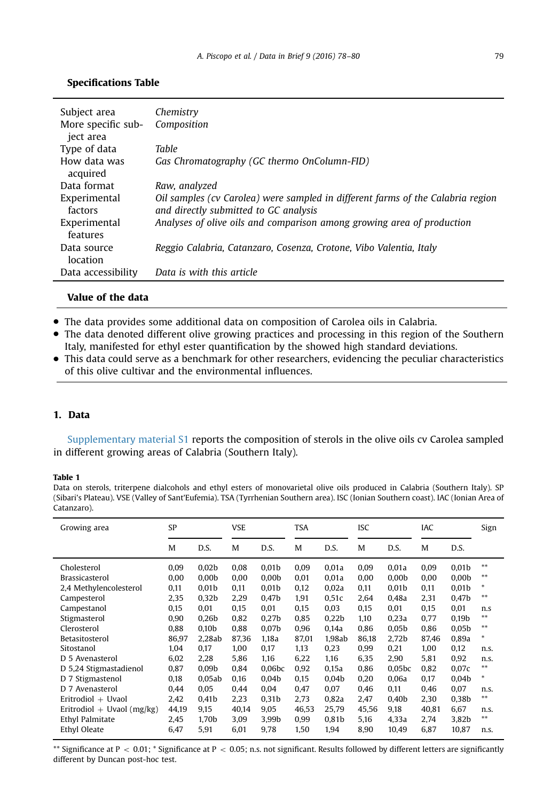<span id="page-1-0"></span>

| Subject area<br>More specific sub-<br>ject area | Chemistry<br>Composition                                                                                                 |
|-------------------------------------------------|--------------------------------------------------------------------------------------------------------------------------|
| Type of data                                    | Table                                                                                                                    |
| How data was<br>acquired                        | Gas Chromatography (GC thermo OnColumn-FID)                                                                              |
| Data format                                     | Raw, analyzed                                                                                                            |
| Experimental<br>factors                         | Oil samples (cv Carolea) were sampled in different farms of the Calabria region<br>and directly submitted to GC analysis |
| Experimental<br>features                        | Analyses of olive oils and comparison among growing area of production                                                   |
| Data source<br>location                         | Reggio Calabria, Catanzaro, Cosenza, Crotone, Vibo Valentia, Italy                                                       |
| Data accessibility                              | Data is with this article                                                                                                |

## Value of the data

- The data provides some additional data on composition of Carolea oils in Calabria.
- The data denoted different olive growing practices and processing in this region of the Southern Italy, manifested for ethyl ester quantification by the showed high standard deviations.
- This data could serve as a benchmark for other researchers, evidencing the peculiar characteristics of this olive cultivar and the environmental influences.

### 1. Data

Supplementary material S1 reports the composition of sterols in the olive oils cv Carolea sampled in different growing areas of Calabria (Southern Italy).

#### Table 1

Data on sterols, triterpene dialcohols and ethyl esters of monovarietal olive oils produced in Calabria (Southern Italy). SP (Sibari's Plateau). VSE (Valley of Sant'Eufemia). TSA (Tyrrhenian Southern area). ISC (Ionian Southern coast). IAC (Ionian Area of Catanzaro).

| Growing area                 | SP    |                   | <b>VSE</b> |                   | <b>TSA</b> |                   | <b>ISC</b> |                   | IAC   |                   | Sign  |
|------------------------------|-------|-------------------|------------|-------------------|------------|-------------------|------------|-------------------|-------|-------------------|-------|
|                              | M     | D.S.              | M          | D.S.              | M          | D.S.              | M          | D.S.              | M     | D.S.              |       |
| Cholesterol                  | 0,09  | 0,02 <sub>b</sub> | 0,08       | 0.01 <sub>b</sub> | 0,09       | 0,01a             | 0.09       | 0,01a             | 0.09  | 0,01 <sub>b</sub> | **    |
| <b>Brassicasterol</b>        | 0,00  | 0.00 <sub>b</sub> | 0.00       | 0.00 <sub>b</sub> | 0.01       | 0.01a             | 0.00       | 0.00 <sub>b</sub> | 0.00  | 0.00 <sub>b</sub> | **    |
| 2,4 Methylencolesterol       | 0,11  | 0.01 <sub>b</sub> | 0,11       | 0.01 <sub>b</sub> | 0,12       | 0,02a             | 0,11       | 0,01 <sub>b</sub> | 0,11  | 0,01 <sub>b</sub> | *     |
| Campesterol                  | 2,35  | 0.32 <sub>b</sub> | 2,29       | 0.47 <sub>b</sub> | 1,91       | 0,51c             | 2.64       | 0.48a             | 2,31  | 0.47 <sub>b</sub> | $***$ |
| Campestanol                  | 0,15  | 0,01              | 0,15       | 0.01              | 0,15       | 0,03              | 0,15       | 0,01              | 0,15  | 0,01              | n.s   |
| Stigmasterol                 | 0,90  | 0.26 <sub>b</sub> | 0.82       | 0.27 <sub>b</sub> | 0.85       | 0.22 <sub>b</sub> | 1.10       | 0.23a             | 0.77  | 0.19 <sub>b</sub> | $***$ |
| Clerosterol                  | 0.88  | 0.10 <sub>b</sub> | 0.88       | 0.07 <sub>b</sub> | 0.96       | 0.14a             | 0.86       | 0.05 <sub>b</sub> | 0.86  | 0.05 <sub>b</sub> | $***$ |
| Betasitosterol               | 86,97 | 2.28ab            | 87,36      | 1.18a             | 87,01      | 1,98ab            | 86,18      | 2,72b             | 87,46 | 0,89a             | *     |
| Sitostanol                   | 1.04  | 0.17              | 1.00       | 0.17              | 1.13       | 0,23              | 0.99       | 0.21              | 1.00  | 0.12              | n.s.  |
| D 5 Avenasterol              | 6,02  | 2.28              | 5,86       | 1.16              | 6,22       | 1,16              | 6,35       | 2,90              | 5.81  | 0,92              | n.s.  |
| D 5,24 Stigmastadienol       | 0.87  | 0.09 <sub>b</sub> | 0.84       | 0.06 <sub>b</sub> | 0.92       | 0.15a             | 0.86       | 0.05 <sub>b</sub> | 0.82  | 0.07c             | **    |
| D 7 Stigmastenol             | 0,18  | 0.05ab            | 0.16       | 0.04 <sub>b</sub> | 0.15       | 0.04 <sub>b</sub> | 0.20       | 0.06a             | 0.17  | 0.04 <sub>b</sub> | *     |
| D 7 Avenasterol              | 0.44  | 0.05              | 0.44       | 0.04              | 0.47       | 0.07              | 0.46       | 0.11              | 0.46  | 0.07              | n.s.  |
| Eritrodiol $+$ Uvaol         | 2.42  | 0.41 <sub>b</sub> | 2.23       | 0.31 <sub>b</sub> | 2.73       | 0.82a             | 2.47       | 0.40 <sub>b</sub> | 2.30  | 0.38 <sub>b</sub> | $***$ |
| Eritrodiol + Uvaol $(mg/kg)$ | 44,19 | 9,15              | 40,14      | 9,05              | 46,53      | 25,79             | 45,56      | 9,18              | 40,81 | 6,67              | n.s.  |
| Ethyl Palmitate              | 2,45  | 1.70b             | 3,09       | 3.99b             | 0,99       | 0,81 <sub>b</sub> | 5,16       | 4,33a             | 2,74  | 3,82b             | $***$ |
| Ethyl Oleate                 | 6,47  | 5,91              | 6,01       | 9,78              | 1,50       | 1,94              | 8,90       | 10,49             | 6,87  | 10,87             | n.s.  |

\*\* Significance at  $P < 0.01$ ; \* Significance at  $P < 0.05$ ; n.s. not significant. Results followed by different letters are significantly different by Duncan post-hoc test.